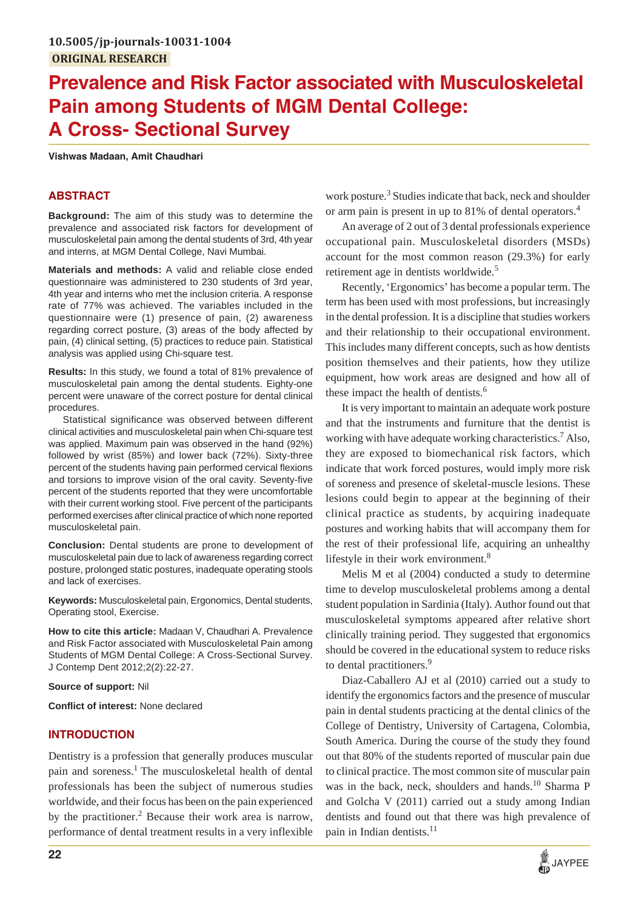# **Prevalence and Risk Factor associated with Musculoskeletal Pain among Students of MGM Dental College: A Cross- Sectional Survey**

**Vishwas Madaan, Amit Chaudhari**

## **ABSTRACT**

**Background:** The aim of this study was to determine the prevalence and associated risk factors for development of musculoskeletal pain among the dental students of 3rd, 4th year and interns, at MGM Dental College, Navi Mumbai.

**Materials and methods:** A valid and reliable close ended questionnaire was administered to 230 students of 3rd year, 4th year and interns who met the inclusion criteria. A response rate of 77% was achieved. The variables included in the questionnaire were (1) presence of pain, (2) awareness regarding correct posture, (3) areas of the body affected by pain, (4) clinical setting, (5) practices to reduce pain. Statistical analysis was applied using Chi-square test.

**Results:** In this study, we found a total of 81% prevalence of musculoskeletal pain among the dental students. Eighty-one percent were unaware of the correct posture for dental clinical procedures.

Statistical significance was observed between different clinical activities and musculoskeletal pain when Chi-square test was applied. Maximum pain was observed in the hand (92%) followed by wrist (85%) and lower back (72%). Sixty-three percent of the students having pain performed cervical flexions and torsions to improve vision of the oral cavity. Seventy-five percent of the students reported that they were uncomfortable with their current working stool. Five percent of the participants performed exercises after clinical practice of which none reported musculoskeletal pain.

**Conclusion:** Dental students are prone to development of musculoskeletal pain due to lack of awareness regarding correct posture, prolonged static postures, inadequate operating stools and lack of exercises.

**Keywords:** Musculoskeletal pain, Ergonomics, Dental students, Operating stool, Exercise.

**How to cite this article:** Madaan V, Chaudhari A. Prevalence and Risk Factor associated with Musculoskeletal Pain among Students of MGM Dental College: A Cross-Sectional Survey. J Contemp Dent 2012;2(2):22-27.

#### **Source of support:** Nil

**Conflict of interest:** None declared

## **INTRODUCTION**

Dentistry is a profession that generally produces muscular pain and soreness.<sup>1</sup> The musculoskeletal health of dental professionals has been the subject of numerous studies worldwide, and their focus has been on the pain experienced by the practitioner.<sup>2</sup> Because their work area is narrow, performance of dental treatment results in a very inflexible work posture.<sup>3</sup> Studies indicate that back, neck and shoulder or arm pain is present in up to 81% of dental operators.<sup>4</sup>

An average of 2 out of 3 dental professionals experience occupational pain. Musculoskeletal disorders (MSDs) account for the most common reason (29.3%) for early retirement age in dentists worldwide.<sup>5</sup>

Recently, 'Ergonomics' has become a popular term. The term has been used with most professions, but increasingly in the dental profession. It is a discipline that studies workers and their relationship to their occupational environment. This includes many different concepts, such as how dentists position themselves and their patients, how they utilize equipment, how work areas are designed and how all of these impact the health of dentists.<sup>6</sup>

It is very important to maintain an adequate work posture and that the instruments and furniture that the dentist is working with have adequate working characteristics.<sup>7</sup> Also, they are exposed to biomechanical risk factors, which indicate that work forced postures, would imply more risk of soreness and presence of skeletal-muscle lesions. These lesions could begin to appear at the beginning of their clinical practice as students, by acquiring inadequate postures and working habits that will accompany them for the rest of their professional life, acquiring an unhealthy lifestyle in their work environment.<sup>8</sup>

Melis M et al (2004) conducted a study to determine time to develop musculoskeletal problems among a dental student population in Sardinia (Italy). Author found out that musculoskeletal symptoms appeared after relative short clinically training period. They suggested that ergonomics should be covered in the educational system to reduce risks to dental practitioners.<sup>9</sup>

Diaz-Caballero AJ et al (2010) carried out a study to identify the ergonomics factors and the presence of muscular pain in dental students practicing at the dental clinics of the College of Dentistry, University of Cartagena, Colombia, South America. During the course of the study they found out that 80% of the students reported of muscular pain due to clinical practice. The most common site of muscular pain was in the back, neck, shoulders and hands.<sup>10</sup> Sharma P and Golcha V (2011) carried out a study among Indian dentists and found out that there was high prevalence of pain in Indian dentists. $11$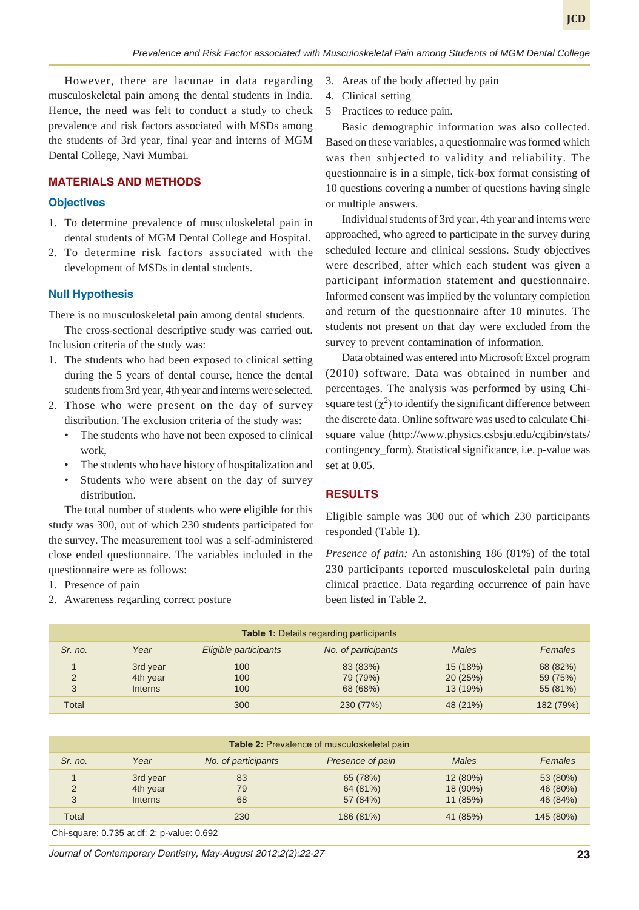However, there are lacunae in data regarding musculoskeletal pain among the dental students in India. Hence, the need was felt to conduct a study to check prevalence and risk factors associated with MSDs among the students of 3rd year, final year and interns of MGM Dental College, Navi Mumbai.

# **MATERIALS AND METHODS**

#### **Objectives**

- 1. To determine prevalence of musculoskeletal pain in dental students of MGM Dental College and Hospital.
- 2. To determine risk factors associated with the development of MSDs in dental students.

## **Null Hypothesis**

There is no musculoskeletal pain among dental students.

The cross-sectional descriptive study was carried out. Inclusion criteria of the study was:

- 1. The students who had been exposed to clinical setting during the 5 years of dental course, hence the dental students from 3rd year, 4th year and interns were selected.
- 2. Those who were present on the day of survey distribution. The exclusion criteria of the study was:
	- The students who have not been exposed to clinical work,
	- The students who have history of hospitalization and
	- Students who were absent on the day of survey distribution.

The total number of students who were eligible for this study was 300, out of which 230 students participated for the survey. The measurement tool was a self-administered close ended questionnaire. The variables included in the questionnaire were as follows:

- 1. Presence of pain
- 2. Awareness regarding correct posture
- 3. Areas of the body affected by pain
- 4. Clinical setting

*Prevalence and Risk Factor associated with Musculoskeletal Pain among Students of MGM Dental College*

5 Practices to reduce pain.

Basic demographic information was also collected. Based on these variables, a questionnaire was formed which was then subjected to validity and reliability. The questionnaire is in a simple, tick-box format consisting of 10 questions covering a number of questions having single or multiple answers.

**JCD**

Individual students of 3rd year, 4th year and interns were approached, who agreed to participate in the survey during scheduled lecture and clinical sessions. Study objectives were described, after which each student was given a participant information statement and questionnaire. Informed consent was implied by the voluntary completion and return of the questionnaire after 10 minutes. The students not present on that day were excluded from the survey to prevent contamination of information.

Data obtained was entered into Microsoft Excel program (2010) software. Data was obtained in number and percentages. The analysis was performed by using Chisquare test  $(\chi^2)$  to identify the significant difference between the discrete data. Online software was used to calculate Chisquare value (http://www.physics.csbsju.edu/cgibin/stats/ contingency\_form). Statistical significance, i.e. p-value was set at 0.05.

## **RESULTS**

Eligible sample was 300 out of which 230 participants responded (Table 1).

*Presence of pain:* An astonishing 186 (81%) of the total 230 participants reported musculoskeletal pain during clinical practice. Data regarding occurrence of pain have been listed in Table 2.

| <b>Table 1:</b> Details regarding participants |                                 |                       |                                  |                                 |                                  |  |  |  |
|------------------------------------------------|---------------------------------|-----------------------|----------------------------------|---------------------------------|----------------------------------|--|--|--|
| Sr. no.                                        | Year                            | Eligible participants | No. of participants              | <b>Males</b>                    | Females                          |  |  |  |
|                                                | 3rd year<br>4th year<br>Interns | 100<br>100<br>100     | 83 (83%)<br>79 (79%)<br>68 (68%) | 15 (18%)<br>20(25%)<br>13 (19%) | 68 (82%)<br>59 (75%)<br>55 (81%) |  |  |  |
| Total                                          |                                 | 300                   | 230 (77%)                        | 48 (21%)                        | 182 (79%)                        |  |  |  |

| Table 2: Prevalence of musculoskeletal pain |                            |                      |                      |                     |                      |  |  |  |
|---------------------------------------------|----------------------------|----------------------|----------------------|---------------------|----------------------|--|--|--|
| Sr. no.                                     | Year                       | No. of participants  | Presence of pain     | <b>Males</b>        | Females              |  |  |  |
|                                             | 3rd year                   | 83                   | 65 (78%)             | 12(80%)             | 53 (80%)             |  |  |  |
| 2<br>3                                      | 4th year<br><b>Interns</b> | 79<br>68             | 64 (81%)<br>57 (84%) | 18 (90%)<br>11(85%) | 46 (80%)<br>46 (84%) |  |  |  |
| Total                                       |                            | 230                  | 186 (81%)            | 41 (85%)            | 145 (80%)            |  |  |  |
| $\sim\cdot\cdot$                            | - --- - - -                | $\sim$ $\sim$ $\sim$ |                      |                     |                      |  |  |  |

Chi-square: 0.735 at df: 2; p-value: 0.692

*Journal of Contemporary Dentistry, May-August 2012;2(2):22-27* **23**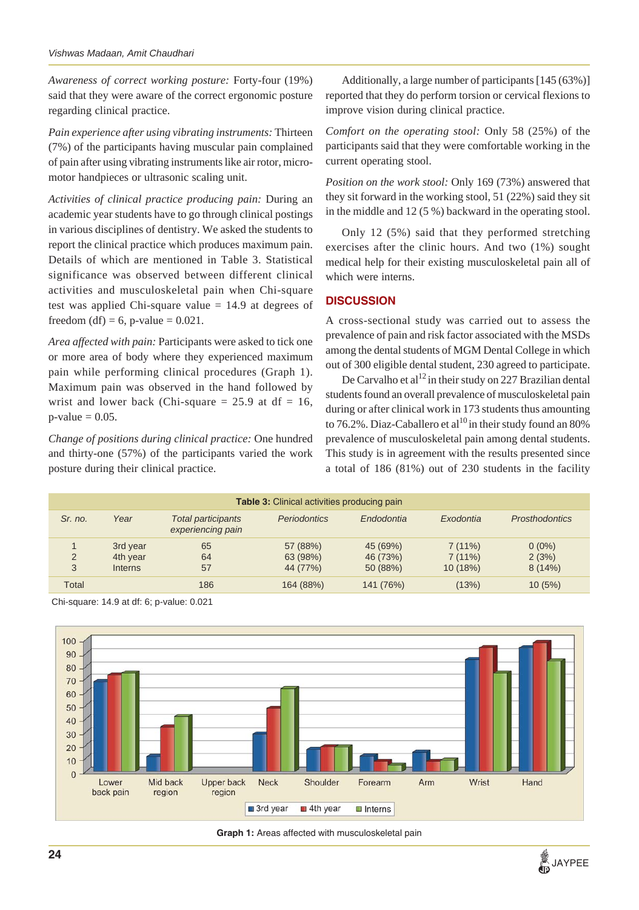*Awareness of correct working posture:* Forty-four (19%) said that they were aware of the correct ergonomic posture regarding clinical practice.

*Pain experience after using vibrating instruments:* Thirteen (7%) of the participants having muscular pain complained of pain after using vibrating instruments like air rotor, micromotor handpieces or ultrasonic scaling unit.

*Activities of clinical practice producing pain:* During an academic year students have to go through clinical postings in various disciplines of dentistry. We asked the students to report the clinical practice which produces maximum pain. Details of which are mentioned in Table 3. Statistical significance was observed between different clinical activities and musculoskeletal pain when Chi-square test was applied Chi-square value  $= 14.9$  at degrees of freedom (df) = 6, p-value =  $0.021$ .

*Area affected with pain:* Participants were asked to tick one or more area of body where they experienced maximum pain while performing clinical procedures (Graph 1). Maximum pain was observed in the hand followed by wrist and lower back (Chi-square  $= 25.9$  at df  $= 16$ ,  $p$ -value = 0.05.

*Change of positions during clinical practice:* One hundred and thirty-one (57%) of the participants varied the work posture during their clinical practice.

Additionally, a large number of participants [145 (63%)] reported that they do perform torsion or cervical flexions to improve vision during clinical practice.

*Comfort on the operating stool:* Only 58 (25%) of the participants said that they were comfortable working in the current operating stool.

*Position on the work stool:* Only 169 (73%) answered that they sit forward in the working stool, 51 (22%) said they sit in the middle and 12 (5 %) backward in the operating stool.

Only 12 (5%) said that they performed stretching exercises after the clinic hours. And two (1%) sought medical help for their existing musculoskeletal pain all of which were interns.

## **DISCUSSION**

A cross-sectional study was carried out to assess the prevalence of pain and risk factor associated with the MSDs among the dental students of MGM Dental College in which out of 300 eligible dental student, 230 agreed to participate.

De Carvalho et al<sup>12</sup> in their study on 227 Brazilian dental students found an overall prevalence of musculoskeletal pain during or after clinical work in 173 students thus amounting to 76.2%. Diaz-Caballero et al<sup>10</sup> in their study found an 80% prevalence of musculoskeletal pain among dental students. This study is in agreement with the results presented since a total of 186 (81%) out of 230 students in the facility

| <b>Table 3:</b> Clinical activities producing pain |                                        |                                                |                                  |                                  |                             |                             |  |  |
|----------------------------------------------------|----------------------------------------|------------------------------------------------|----------------------------------|----------------------------------|-----------------------------|-----------------------------|--|--|
| Sr. no.                                            | Year                                   | <b>Total participants</b><br>experiencing pain | <b>Periodontics</b>              | Endodontia                       | Exodontia                   | <b>Prosthodontics</b>       |  |  |
| $\overline{2}$<br>3                                | 3rd year<br>4th year<br><b>Interns</b> | 65<br>64<br>57                                 | 57 (88%)<br>63 (98%)<br>44 (77%) | 45 (69%)<br>46 (73%)<br>50 (88%) | 7(11%)<br>7(11%)<br>10(18%) | $0(0\%)$<br>2(3%)<br>8(14%) |  |  |
| Total                                              |                                        | 186                                            | 164 (88%)                        | 141 (76%)                        | (13%)                       | 10(5%)                      |  |  |

Chi-square: 14.9 at df: 6; p-value: 0.021





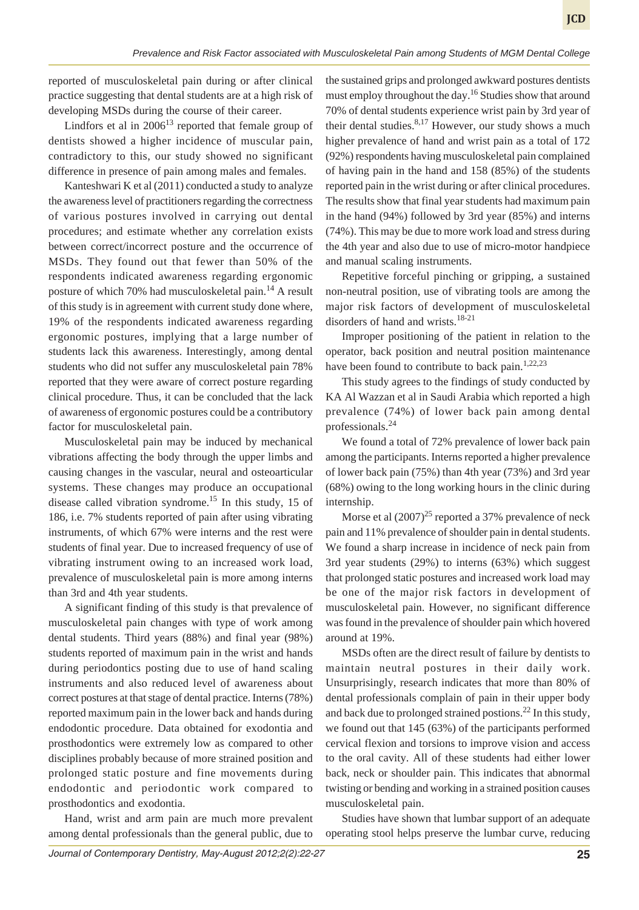reported of musculoskeletal pain during or after clinical practice suggesting that dental students are at a high risk of developing MSDs during the course of their career.

Lindfors et al in  $2006<sup>13</sup>$  reported that female group of dentists showed a higher incidence of muscular pain, contradictory to this, our study showed no significant difference in presence of pain among males and females.

Kanteshwari K et al (2011) conducted a study to analyze the awareness level of practitioners regarding the correctness of various postures involved in carrying out dental procedures; and estimate whether any correlation exists between correct/incorrect posture and the occurrence of MSDs. They found out that fewer than 50% of the respondents indicated awareness regarding ergonomic posture of which 70% had musculoskeletal pain.<sup>14</sup> A result of this study is in agreement with current study done where, 19% of the respondents indicated awareness regarding ergonomic postures, implying that a large number of students lack this awareness. Interestingly, among dental students who did not suffer any musculoskeletal pain 78% reported that they were aware of correct posture regarding clinical procedure. Thus, it can be concluded that the lack of awareness of ergonomic postures could be a contributory factor for musculoskeletal pain.

Musculoskeletal pain may be induced by mechanical vibrations affecting the body through the upper limbs and causing changes in the vascular, neural and osteoarticular systems. These changes may produce an occupational disease called vibration syndrome.<sup>15</sup> In this study, 15 of 186, i.e. 7% students reported of pain after using vibrating instruments, of which 67% were interns and the rest were students of final year. Due to increased frequency of use of vibrating instrument owing to an increased work load, prevalence of musculoskeletal pain is more among interns than 3rd and 4th year students.

A significant finding of this study is that prevalence of musculoskeletal pain changes with type of work among dental students. Third years (88%) and final year (98%) students reported of maximum pain in the wrist and hands during periodontics posting due to use of hand scaling instruments and also reduced level of awareness about correct postures at that stage of dental practice. Interns (78%) reported maximum pain in the lower back and hands during endodontic procedure. Data obtained for exodontia and prosthodontics were extremely low as compared to other disciplines probably because of more strained position and prolonged static posture and fine movements during endodontic and periodontic work compared to prosthodontics and exodontia.

Hand, wrist and arm pain are much more prevalent among dental professionals than the general public, due to

the sustained grips and prolonged awkward postures dentists must employ throughout the day.<sup>16</sup> Studies show that around 70% of dental students experience wrist pain by 3rd year of their dental studies. $8,17$  However, our study shows a much higher prevalence of hand and wrist pain as a total of 172 (92%) respondents having musculoskeletal pain complained of having pain in the hand and 158 (85%) of the students reported pain in the wrist during or after clinical procedures. The results show that final year students had maximum pain in the hand (94%) followed by 3rd year (85%) and interns (74%). This may be due to more work load and stress during the 4th year and also due to use of micro-motor handpiece and manual scaling instruments.

Repetitive forceful pinching or gripping, a sustained non-neutral position, use of vibrating tools are among the major risk factors of development of musculoskeletal disorders of hand and wrists.<sup>18-21</sup>

Improper positioning of the patient in relation to the operator, back position and neutral position maintenance have been found to contribute to back pain. $1,22,23$ 

This study agrees to the findings of study conducted by KA Al Wazzan et al in Saudi Arabia which reported a high prevalence (74%) of lower back pain among dental professionals. $^{24}$ 

We found a total of 72% prevalence of lower back pain among the participants. Interns reported a higher prevalence of lower back pain (75%) than 4th year (73%) and 3rd year (68%) owing to the long working hours in the clinic during internship.

Morse et al  $(2007)^{25}$  reported a 37% prevalence of neck pain and 11% prevalence of shoulder pain in dental students. We found a sharp increase in incidence of neck pain from 3rd year students (29%) to interns (63%) which suggest that prolonged static postures and increased work load may be one of the major risk factors in development of musculoskeletal pain. However, no significant difference was found in the prevalence of shoulder pain which hovered around at 19%.

MSDs often are the direct result of failure by dentists to maintain neutral postures in their daily work. Unsurprisingly, research indicates that more than 80% of dental professionals complain of pain in their upper body and back due to prolonged strained postions.<sup>22</sup> In this study, we found out that 145 (63%) of the participants performed cervical flexion and torsions to improve vision and access to the oral cavity. All of these students had either lower back, neck or shoulder pain. This indicates that abnormal twisting or bending and working in a strained position causes musculoskeletal pain.

Studies have shown that lumbar support of an adequate operating stool helps preserve the lumbar curve, reducing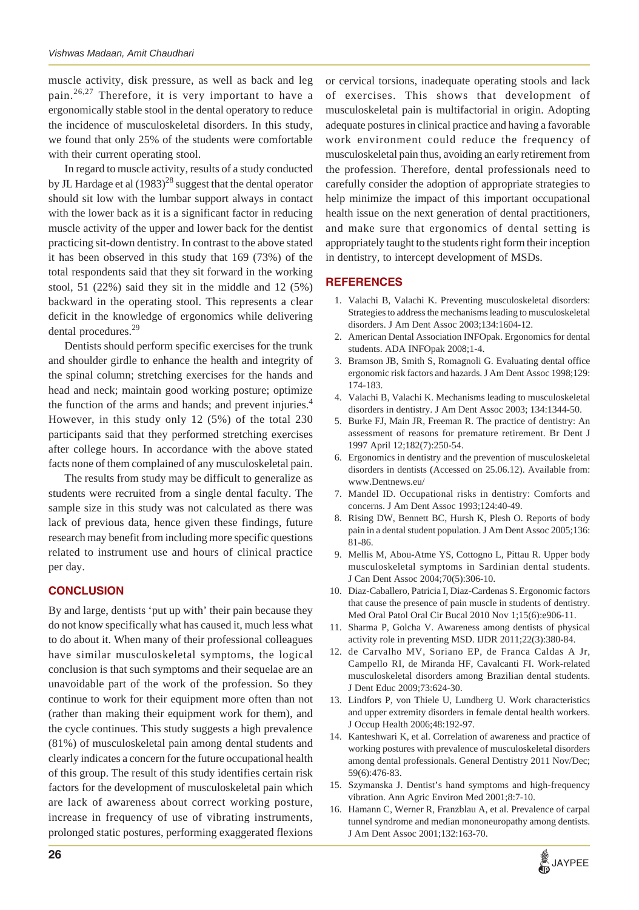muscle activity, disk pressure, as well as back and leg pain.26,27 Therefore, it is very important to have a ergonomically stable stool in the dental operatory to reduce the incidence of musculoskeletal disorders. In this study, we found that only 25% of the students were comfortable with their current operating stool.

In regard to muscle activity, results of a study conducted by JL Hardage et al  $(1983)^{28}$  suggest that the dental operator should sit low with the lumbar support always in contact with the lower back as it is a significant factor in reducing muscle activity of the upper and lower back for the dentist practicing sit-down dentistry. In contrast to the above stated it has been observed in this study that 169 (73%) of the total respondents said that they sit forward in the working stool, 51 (22%) said they sit in the middle and 12 (5%) backward in the operating stool. This represents a clear deficit in the knowledge of ergonomics while delivering dental procedures.29

Dentists should perform specific exercises for the trunk and shoulder girdle to enhance the health and integrity of the spinal column; stretching exercises for the hands and head and neck; maintain good working posture; optimize the function of the arms and hands; and prevent injuries.<sup>4</sup> However, in this study only 12 (5%) of the total 230 participants said that they performed stretching exercises after college hours. In accordance with the above stated facts none of them complained of any musculoskeletal pain.

The results from study may be difficult to generalize as students were recruited from a single dental faculty. The sample size in this study was not calculated as there was lack of previous data, hence given these findings, future research may benefit from including more specific questions related to instrument use and hours of clinical practice per day.

#### **CONCLUSION**

By and large, dentists 'put up with' their pain because they do not know specifically what has caused it, much less what to do about it. When many of their professional colleagues have similar musculoskeletal symptoms, the logical conclusion is that such symptoms and their sequelae are an unavoidable part of the work of the profession. So they continue to work for their equipment more often than not (rather than making their equipment work for them), and the cycle continues. This study suggests a high prevalence (81%) of musculoskeletal pain among dental students and clearly indicates a concern for the future occupational health of this group. The result of this study identifies certain risk factors for the development of musculoskeletal pain which are lack of awareness about correct working posture, increase in frequency of use of vibrating instruments, prolonged static postures, performing exaggerated flexions

or cervical torsions, inadequate operating stools and lack of exercises. This shows that development of musculoskeletal pain is multifactorial in origin. Adopting adequate postures in clinical practice and having a favorable work environment could reduce the frequency of musculoskeletal pain thus, avoiding an early retirement from the profession. Therefore, dental professionals need to carefully consider the adoption of appropriate strategies to help minimize the impact of this important occupational health issue on the next generation of dental practitioners, and make sure that ergonomics of dental setting is appropriately taught to the students right form their inception in dentistry, to intercept development of MSDs.

#### **REFERENCES**

- 1. Valachi B, Valachi K. Preventing musculoskeletal disorders: Strategies to address the mechanisms leading to musculoskeletal disorders. J Am Dent Assoc 2003;134:1604-12.
- 2. American Dental Association INFOpak. Ergonomics for dental students. ADA INFOpak 2008;1-4.
- 3. Bramson JB, Smith S, Romagnoli G. Evaluating dental office ergonomic risk factors and hazards. J Am Dent Assoc 1998;129: 174-183.
- 4. Valachi B, Valachi K. Mechanisms leading to musculoskeletal disorders in dentistry. J Am Dent Assoc 2003; 134:1344-50.
- 5. Burke FJ, Main JR, Freeman R. The practice of dentistry: An assessment of reasons for premature retirement. Br Dent J 1997 April 12;182(7):250-54.
- 6. Ergonomics in dentistry and the prevention of musculoskeletal disorders in dentists (Accessed on 25.06.12). Available from: www.Dentnews.eu/
- 7. Mandel ID. Occupational risks in dentistry: Comforts and concerns. J Am Dent Assoc 1993;124:40-49.
- Rising DW, Bennett BC, Hursh K, Plesh O. Reports of body pain in a dental student population. J Am Dent Assoc 2005;136: 81-86.
- 9. Mellis M, Abou-Atme YS, Cottogno L, Pittau R. Upper body musculoskeletal symptoms in Sardinian dental students. J Can Dent Assoc 2004;70(5):306-10.
- 10. Diaz-Caballero, Patricia I, Diaz-Cardenas S. Ergonomic factors that cause the presence of pain muscle in students of dentistry. Med Oral Patol Oral Cir Bucal 2010 Nov 1;15(6):e906-11.
- 11. Sharma P, Golcha V. Awareness among dentists of physical activity role in preventing MSD. IJDR 2011;22(3):380-84.
- 12. de Carvalho MV, Soriano EP, de Franca Caldas A Jr, Campello RI, de Miranda HF, Cavalcanti FI. Work-related musculoskeletal disorders among Brazilian dental students. J Dent Educ 2009;73:624-30.
- 13. Lindfors P, von Thiele U, Lundberg U. Work characteristics and upper extremity disorders in female dental health workers. J Occup Health 2006;48:192-97.
- 14. Kanteshwari K, et al. Correlation of awareness and practice of working postures with prevalence of musculoskeletal disorders among dental professionals. General Dentistry 2011 Nov/Dec; 59(6):476-83.
- 15. Szymanska J. Dentist's hand symptoms and high-frequency vibration. Ann Agric Environ Med 2001;8:7-10.
- 16. Hamann C, Werner R, Franzblau A, et al. Prevalence of carpal tunnel syndrome and median mononeuropathy among dentists. J Am Dent Assoc 2001;132:163-70.